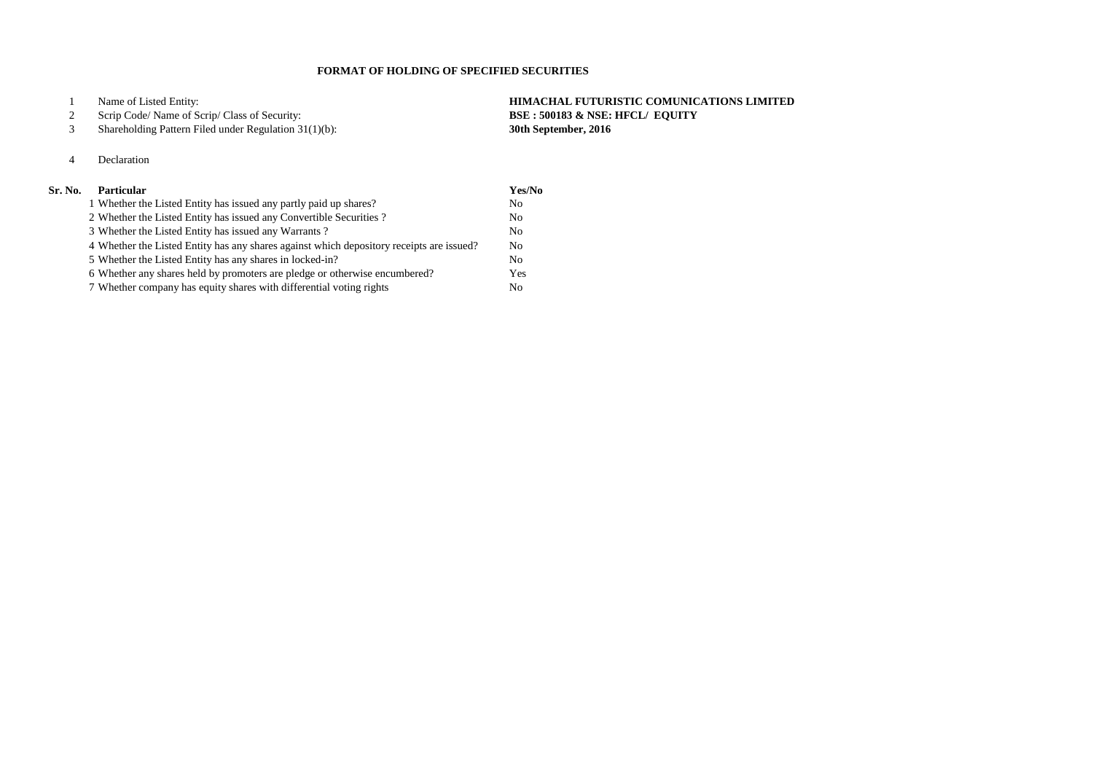Name of Listed Entity: **HIMACHAL FUTURISTIC COMUNICATIONS LIMITED**

## Scrip Code/ Name of Scrip/ Class of Security: **BSE : 500183 & NSE: HFCL/ EQUITY**

Shareholding Pattern Filed under Regulation 31(1)(b): **30th September, 2016**

# Declaration

| Sr. No. | <b>Particular</b>                                                                        | Yes/No         |
|---------|------------------------------------------------------------------------------------------|----------------|
|         | 1 Whether the Listed Entity has issued any partly paid up shares?                        | N <sub>0</sub> |
|         | 2 Whether the Listed Entity has issued any Convertible Securities?                       | N <sub>o</sub> |
|         | 3 Whether the Listed Entity has issued any Warrants?                                     | No             |
|         | 4 Whether the Listed Entity has any shares against which depository receipts are issued? | No             |
|         | 5 Whether the Listed Entity has any shares in locked-in?                                 | No             |
|         | 6 Whether any shares held by promoters are pledge or otherwise encumbered?               | Yes            |
|         | 7 Whether company has equity shares with differential voting rights                      | No.            |

## **FORMAT OF HOLDING OF SPECIFIED SECURITIES**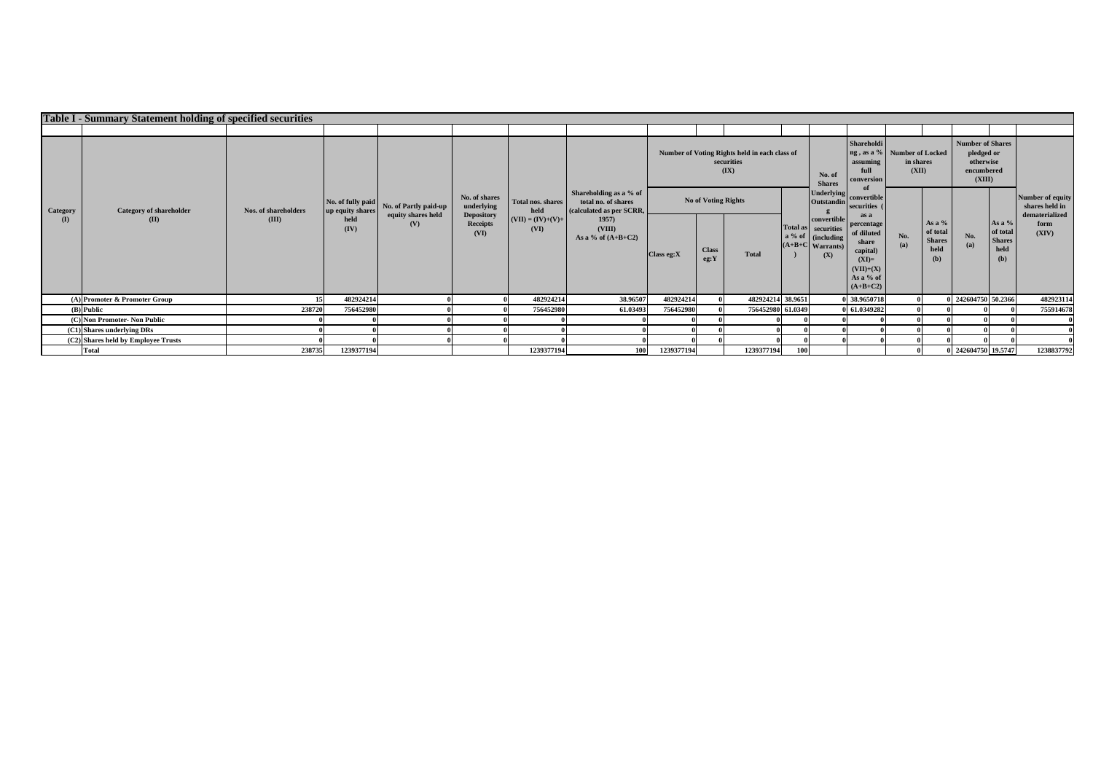|                                     | Table I - Summary Statement holding of specified securities |                               |                                       |                                                    |                                                                      |                                                                                                        |                                                                                                                      |                            |                      |                                                                     |     |                                                                                      |                                                                                                            |                    |                                                      |                                                                            |                                                    |                                    |
|-------------------------------------|-------------------------------------------------------------|-------------------------------|---------------------------------------|----------------------------------------------------|----------------------------------------------------------------------|--------------------------------------------------------------------------------------------------------|----------------------------------------------------------------------------------------------------------------------|----------------------------|----------------------|---------------------------------------------------------------------|-----|--------------------------------------------------------------------------------------|------------------------------------------------------------------------------------------------------------|--------------------|------------------------------------------------------|----------------------------------------------------------------------------|----------------------------------------------------|------------------------------------|
|                                     |                                                             |                               |                                       |                                                    |                                                                      |                                                                                                        |                                                                                                                      |                            |                      |                                                                     |     |                                                                                      |                                                                                                            |                    |                                                      |                                                                            |                                                    |                                    |
| <b>Category</b><br>(I)              | <b>Category of shareholder</b><br>(II)                      | Nos. of shareholders<br>(III) |                                       |                                                    |                                                                      |                                                                                                        |                                                                                                                      |                            |                      | Number of Voting Rights held in each class of<br>securities<br>(IX) |     | No. of<br><b>Shares</b>                                                              | <b>Shareholdi</b><br>ng, as a % Number of Locked<br>assuming<br>full<br>conversion                         | in shares<br>(XII) |                                                      | <b>Number of Shares</b><br>pledged or<br>otherwise<br>encumbered<br>(XIII) |                                                    |                                    |
|                                     |                                                             |                               | No. of fully paid<br>up equity shares | No. of Partly paid-up<br>equity shares held<br>(V) | No. of shares<br>underlying<br><b>Depository</b><br>Receipts<br>(VI) | <b>Total nos. shares</b><br>held<br>$\boxed{\textbf{(VII)} = (\textbf{IV}) + (\textbf{V}) + }$<br>(VI) | Shareholding as a % of<br>total no. of shares<br>(calculated as per SCRR,<br>1957)<br>(VIII)<br>As a % of $(A+B+C2)$ | <b>No of Voting Rights</b> |                      |                                                                     |     | <b>Underlying</b><br><b>Outstandin</b>                                               | convertible<br>securities (                                                                                |                    |                                                      |                                                                            |                                                    | Number of equity<br>shares held in |
|                                     |                                                             |                               | held<br>(IV)                          |                                                    |                                                                      |                                                                                                        |                                                                                                                      | Class eg:X                 | <b>Class</b><br>eg:Y | <b>Total</b>                                                        |     | convertible<br>Total as securities<br>a % of cincluding<br>$(A+B+C$ Warrants)<br>(X) | as a<br>percentage<br>of diluted<br>share<br>capital)<br>$(XI)=$<br>$(VII)+(X)$<br>As a % of<br>$(A+B+C2)$ | No.<br>(a)         | As a $%$<br>of total<br><b>Shares</b><br>held<br>(b) | No.<br>(a)                                                                 | As a %<br>of total<br><b>Shares</b><br>held<br>(b) | dematerialized<br>form<br>(XIV)    |
|                                     | $(A)$ Promoter & Promoter Group                             |                               | 48292421                              |                                                    |                                                                      | 482924214                                                                                              | 38.96507                                                                                                             | 482924214                  |                      | 482924214 38.9651                                                   |     |                                                                                      | 0 38.9650718                                                                                               |                    |                                                      | 242604750 50.2366                                                          |                                                    | 482923114                          |
| $(B)$ Public                        |                                                             | 238720                        | 756452980                             |                                                    |                                                                      | 756452980                                                                                              | 61.03493                                                                                                             | 756452980                  |                      | 756452980 61.0349                                                   |     |                                                                                      | 0 61.0349282                                                                                               |                    |                                                      |                                                                            |                                                    | 755914678                          |
|                                     | (C) Non Promoter- Non Public                                |                               |                                       |                                                    |                                                                      |                                                                                                        |                                                                                                                      |                            |                      |                                                                     |     |                                                                                      |                                                                                                            |                    |                                                      |                                                                            |                                                    |                                    |
| $(C1)$ Shares underlying DRs        |                                                             |                               |                                       |                                                    |                                                                      |                                                                                                        |                                                                                                                      |                            |                      |                                                                     |     |                                                                                      |                                                                                                            |                    |                                                      |                                                                            |                                                    |                                    |
| (C2) Shares held by Employee Trusts |                                                             |                               |                                       |                                                    |                                                                      |                                                                                                        |                                                                                                                      |                            |                      |                                                                     |     |                                                                                      |                                                                                                            |                    |                                                      |                                                                            |                                                    |                                    |
|                                     | <b>Total</b>                                                | 238735                        | 1239377194                            |                                                    |                                                                      | 1239377194                                                                                             | <b>100</b>                                                                                                           | 1239377194                 |                      | 1239377194                                                          | 100 |                                                                                      |                                                                                                            |                    |                                                      | 242604750 19.5747                                                          |                                                    | 1238837792                         |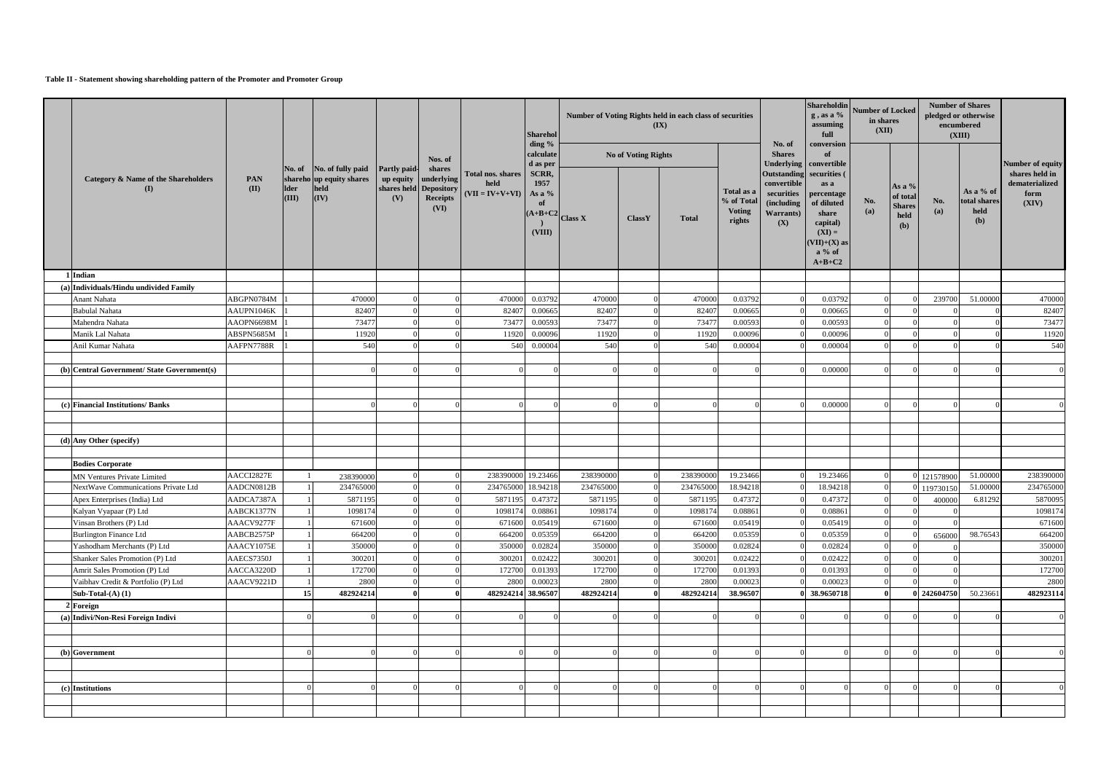### **Table II - Statement showing shareholding pattern of the Promoter and Promoter Group**

|                                                                           |                          |                      |                                                                              |                                  |                                                                    |                                                              | <b>Sharehol</b>                                  |                                            |                     | Number of Voting Rights held in each class of securities<br>(IX) |                                                     |                                                                                   | Shareholdin<br>$g$ , as a %<br>assuming<br>full                                                                             | <b>Number of Locked</b><br>in shares<br>(XII) |                                                               |             | <b>Number of Shares</b><br>pledged or otherwise<br>encumbered<br>(XIII) |                                                           |
|---------------------------------------------------------------------------|--------------------------|----------------------|------------------------------------------------------------------------------|----------------------------------|--------------------------------------------------------------------|--------------------------------------------------------------|--------------------------------------------------|--------------------------------------------|---------------------|------------------------------------------------------------------|-----------------------------------------------------|-----------------------------------------------------------------------------------|-----------------------------------------------------------------------------------------------------------------------------|-----------------------------------------------|---------------------------------------------------------------|-------------|-------------------------------------------------------------------------|-----------------------------------------------------------|
|                                                                           |                          |                      |                                                                              |                                  | Nos. of                                                            |                                                              | ding %<br>calculate<br>d as per                  |                                            | No of Voting Rights |                                                                  |                                                     | No. of<br><b>Shares</b>                                                           | conversion<br>of<br>Underlying   convertible                                                                                |                                               |                                                               |             |                                                                         | Number of equity                                          |
| <b>Category &amp; Name of the Shareholders</b><br>(I)                     | PAN<br>(II)              | <b>Ider</b><br>(III) | No. of No. of fully paid<br>shareho up equity shares<br>held<br>$\vert$ (IV) | Partly paid-<br>up equity<br>(V) | shares<br>underlying<br>shares held Depository<br>Receipts<br>(VI) | Total nos. shares<br>held<br>$\vert$ (VII = IV+V+VI) $\vert$ | SCRR,<br>1957<br>As a $%$<br><b>of</b><br>(VIII) | $\left  \frac{(A+B+C^2)}{Class X} \right $ | ClassY              | <b>Total</b>                                                     | Total as a<br>% of Total<br><b>Voting</b><br>rights | <b>Outstanding</b><br>convertible<br>securities<br>(including<br>Warrants)<br>(X) | securities (<br>as a<br>percentage<br>of diluted<br>share<br>capital)<br>$(XI) =$<br>$(VII)+(X)$ as<br>$a\%$ of<br>$A+B+C2$ | No.<br>(a)                                    | As a $%$<br>of total<br><b>Shares</b><br>held<br>( <b>b</b> ) | No.<br>(a)  | As a $%$ of<br>total shares<br>held<br>( <b>b</b> )                     | shares held in<br>${\bf dematerialized}$<br>form<br>(XIV) |
| 1 Indian                                                                  |                          |                      |                                                                              |                                  |                                                                    |                                                              |                                                  |                                            |                     |                                                                  |                                                     |                                                                                   |                                                                                                                             |                                               |                                                               |             |                                                                         |                                                           |
| (a) Individuals/Hindu undivided Family                                    |                          |                      |                                                                              |                                  |                                                                    |                                                              |                                                  |                                            |                     |                                                                  |                                                     |                                                                                   |                                                                                                                             |                                               |                                                               |             |                                                                         |                                                           |
| Anant Nahata                                                              | ABGPN0784M               |                      | 470000                                                                       |                                  |                                                                    | 470000                                                       | 0.03792                                          | 470000                                     |                     | 470000                                                           | 0.03792                                             |                                                                                   | 0.03792                                                                                                                     |                                               |                                                               | 239700      | 51.00000                                                                | 470000                                                    |
| <b>Babulal Nahata</b>                                                     | AAUPN1046K               |                      | 82407                                                                        |                                  |                                                                    | 82407                                                        | 0.00665                                          | 82407                                      |                     | 82407                                                            | 0.00665                                             |                                                                                   | 0.00665                                                                                                                     |                                               |                                                               |             |                                                                         | 82407                                                     |
| Mahendra Nahata                                                           | AAOPN6698M               |                      | 73477                                                                        |                                  |                                                                    | 7347                                                         | 0.00593                                          | 73477                                      |                     | 73477                                                            | 0.00593                                             |                                                                                   | 0.00593                                                                                                                     |                                               |                                                               |             |                                                                         | 73477                                                     |
| Manik Lal Nahata                                                          | ABSPN5685M               |                      | 11920                                                                        |                                  |                                                                    | 11920                                                        | 0.00096                                          | 11920                                      |                     | 11920                                                            | 0.00096                                             |                                                                                   | 0.00096                                                                                                                     |                                               |                                                               |             |                                                                         | 11920                                                     |
| Anil Kumar Nahata                                                         | AAFPN7788R               |                      | 540                                                                          |                                  |                                                                    | 540                                                          | 0.00004                                          | 540                                        |                     | 540                                                              | 0.00004                                             |                                                                                   | 0.00004                                                                                                                     |                                               |                                                               |             |                                                                         | 540                                                       |
|                                                                           |                          |                      |                                                                              |                                  |                                                                    |                                                              |                                                  |                                            |                     |                                                                  |                                                     |                                                                                   |                                                                                                                             |                                               |                                                               |             |                                                                         |                                                           |
| (b) Central Government/ State Government(s)                               |                          |                      |                                                                              |                                  |                                                                    |                                                              |                                                  |                                            |                     |                                                                  |                                                     |                                                                                   | 0.00000                                                                                                                     |                                               |                                                               |             |                                                                         |                                                           |
|                                                                           |                          |                      |                                                                              |                                  |                                                                    |                                                              |                                                  |                                            |                     |                                                                  |                                                     |                                                                                   |                                                                                                                             |                                               |                                                               |             |                                                                         |                                                           |
|                                                                           |                          |                      |                                                                              |                                  |                                                                    |                                                              |                                                  |                                            |                     |                                                                  |                                                     |                                                                                   |                                                                                                                             |                                               |                                                               |             |                                                                         |                                                           |
| <b>Financial Institutions/Banks</b>                                       |                          |                      |                                                                              |                                  |                                                                    |                                                              |                                                  |                                            |                     |                                                                  |                                                     |                                                                                   | 0.00000                                                                                                                     |                                               |                                                               |             |                                                                         |                                                           |
|                                                                           |                          |                      |                                                                              |                                  |                                                                    |                                                              |                                                  |                                            |                     |                                                                  |                                                     |                                                                                   |                                                                                                                             |                                               |                                                               |             |                                                                         |                                                           |
|                                                                           |                          |                      |                                                                              |                                  |                                                                    |                                                              |                                                  |                                            |                     |                                                                  |                                                     |                                                                                   |                                                                                                                             |                                               |                                                               |             |                                                                         |                                                           |
| (d) Any Other (specify)                                                   |                          |                      |                                                                              |                                  |                                                                    |                                                              |                                                  |                                            |                     |                                                                  |                                                     |                                                                                   |                                                                                                                             |                                               |                                                               |             |                                                                         |                                                           |
|                                                                           |                          |                      |                                                                              |                                  |                                                                    |                                                              |                                                  |                                            |                     |                                                                  |                                                     |                                                                                   |                                                                                                                             |                                               |                                                               |             |                                                                         |                                                           |
| <b>Bodies Corporate</b>                                                   | AACCI2827E               |                      |                                                                              |                                  |                                                                    | 238390000 19.23466                                           |                                                  | 238390000                                  |                     | 238390000                                                        | 19.23466                                            |                                                                                   | 19.23466                                                                                                                    |                                               |                                                               |             | 51.00000                                                                | 238390000                                                 |
| <b>MN Ventures Private Limited</b><br>NextWave Communications Private Ltd |                          |                      | 238390000                                                                    |                                  |                                                                    |                                                              | 18.94218                                         |                                            |                     | 234765000                                                        | 18.94218                                            |                                                                                   |                                                                                                                             |                                               |                                                               | 121578900   |                                                                         |                                                           |
| Apex Enterprises (India) Ltd                                              | AADCN0812B<br>AADCA7387A |                      | 234765000<br>5871195                                                         |                                  |                                                                    | 234765000<br>5871195                                         | 0.47372                                          | 234765000<br>5871195                       |                     | 5871195                                                          | 0.47372                                             |                                                                                   | 18.94218<br>0.47372                                                                                                         |                                               |                                                               | 119730150   | 51.00000<br>6.81292                                                     | 234765000<br>5870095                                      |
| Kalyan Vyapaar (P) Ltd                                                    | AABCK1377N               |                      | 1098174                                                                      |                                  |                                                                    | 1098174                                                      | 0.08861                                          | 1098174                                    |                     | 1098174                                                          | 0.08861                                             | $\Omega$                                                                          | 0.08861                                                                                                                     |                                               |                                                               | 400000      |                                                                         | 1098174                                                   |
| Vinsan Brothers (P) Ltd                                                   | AAACV9277F               |                      | 671600                                                                       |                                  |                                                                    | 671600                                                       | 0.05419                                          | 671600                                     |                     | 671600                                                           | 0.05419                                             |                                                                                   | 0.05419                                                                                                                     |                                               |                                                               |             |                                                                         | 671600                                                    |
| <b>Burlington Finance Ltd</b>                                             | AABCB2575P               |                      | 664200                                                                       |                                  |                                                                    | 664200                                                       | 0.05359                                          | 664200                                     |                     | 664200                                                           | 0.05359                                             |                                                                                   | 0.05359                                                                                                                     |                                               |                                                               | 656000      | 98.76543                                                                | 664200                                                    |
| Yashodham Merchants (P) Ltd                                               | AAACY1075E               |                      | 350000                                                                       |                                  |                                                                    | 350000                                                       | 0.02824                                          | 350000                                     |                     | 350000                                                           | 0.02824                                             |                                                                                   | 0.02824                                                                                                                     |                                               |                                                               |             |                                                                         | 350000                                                    |
| Shanker Sales Promotion (P) Ltd                                           | AAECS7350J               |                      | 300201                                                                       |                                  |                                                                    | 300201                                                       | 0.02422                                          | 300201                                     |                     | 300201                                                           | 0.02422                                             |                                                                                   | 0.02422                                                                                                                     |                                               |                                                               |             |                                                                         | 300201                                                    |
| Amrit Sales Promotion (P) Ltd                                             | AACCA3220D               |                      | 172700                                                                       |                                  |                                                                    | 172700                                                       | 0.01393                                          | 172700                                     |                     | 172700                                                           | 0.01393                                             |                                                                                   | 0.01393                                                                                                                     |                                               |                                                               |             |                                                                         | 172700                                                    |
| Vaibhav Credit & Portfolio (P) Ltd                                        | AAACV9221D               |                      | 2800                                                                         |                                  |                                                                    | 2800                                                         | 0.00023                                          | 2800                                       |                     | 2800                                                             | 0.00023                                             |                                                                                   | 0.00023                                                                                                                     |                                               |                                                               |             |                                                                         | 2800                                                      |
| Sub-Total- $(A)$ $(1)$                                                    |                          | 15                   | 482924214                                                                    |                                  |                                                                    | 482924214 38.96507                                           |                                                  | 482924214                                  |                     | 482924214                                                        | 38.96507                                            |                                                                                   | 38.9650718                                                                                                                  |                                               |                                                               | 0 242604750 | 50.23661                                                                | 482923114                                                 |
| 2 Foreign                                                                 |                          |                      |                                                                              |                                  |                                                                    |                                                              |                                                  |                                            |                     |                                                                  |                                                     |                                                                                   |                                                                                                                             |                                               |                                                               |             |                                                                         |                                                           |
| (a) Indivi/Non-Resi Foreign Indivi                                        |                          |                      |                                                                              |                                  |                                                                    |                                                              |                                                  |                                            |                     |                                                                  |                                                     |                                                                                   |                                                                                                                             |                                               |                                                               |             |                                                                         |                                                           |
|                                                                           |                          |                      |                                                                              |                                  |                                                                    |                                                              |                                                  |                                            |                     |                                                                  |                                                     |                                                                                   |                                                                                                                             |                                               |                                                               |             |                                                                         |                                                           |
|                                                                           |                          |                      |                                                                              |                                  |                                                                    |                                                              |                                                  |                                            |                     |                                                                  |                                                     |                                                                                   |                                                                                                                             |                                               |                                                               |             |                                                                         |                                                           |
| (b) Government                                                            |                          |                      |                                                                              |                                  |                                                                    |                                                              |                                                  |                                            |                     |                                                                  |                                                     |                                                                                   |                                                                                                                             |                                               |                                                               |             |                                                                         |                                                           |
|                                                                           |                          |                      |                                                                              |                                  |                                                                    |                                                              |                                                  |                                            |                     |                                                                  |                                                     |                                                                                   |                                                                                                                             |                                               |                                                               |             |                                                                         |                                                           |
|                                                                           |                          |                      |                                                                              |                                  |                                                                    |                                                              |                                                  |                                            |                     |                                                                  |                                                     |                                                                                   |                                                                                                                             |                                               |                                                               |             |                                                                         |                                                           |
| Institutions                                                              |                          |                      |                                                                              |                                  |                                                                    |                                                              |                                                  |                                            |                     |                                                                  |                                                     |                                                                                   |                                                                                                                             |                                               |                                                               |             |                                                                         |                                                           |
|                                                                           |                          |                      |                                                                              |                                  |                                                                    |                                                              |                                                  |                                            |                     |                                                                  |                                                     |                                                                                   |                                                                                                                             |                                               |                                                               |             |                                                                         |                                                           |
|                                                                           |                          |                      |                                                                              |                                  |                                                                    |                                                              |                                                  |                                            |                     |                                                                  |                                                     |                                                                                   |                                                                                                                             |                                               |                                                               |             |                                                                         |                                                           |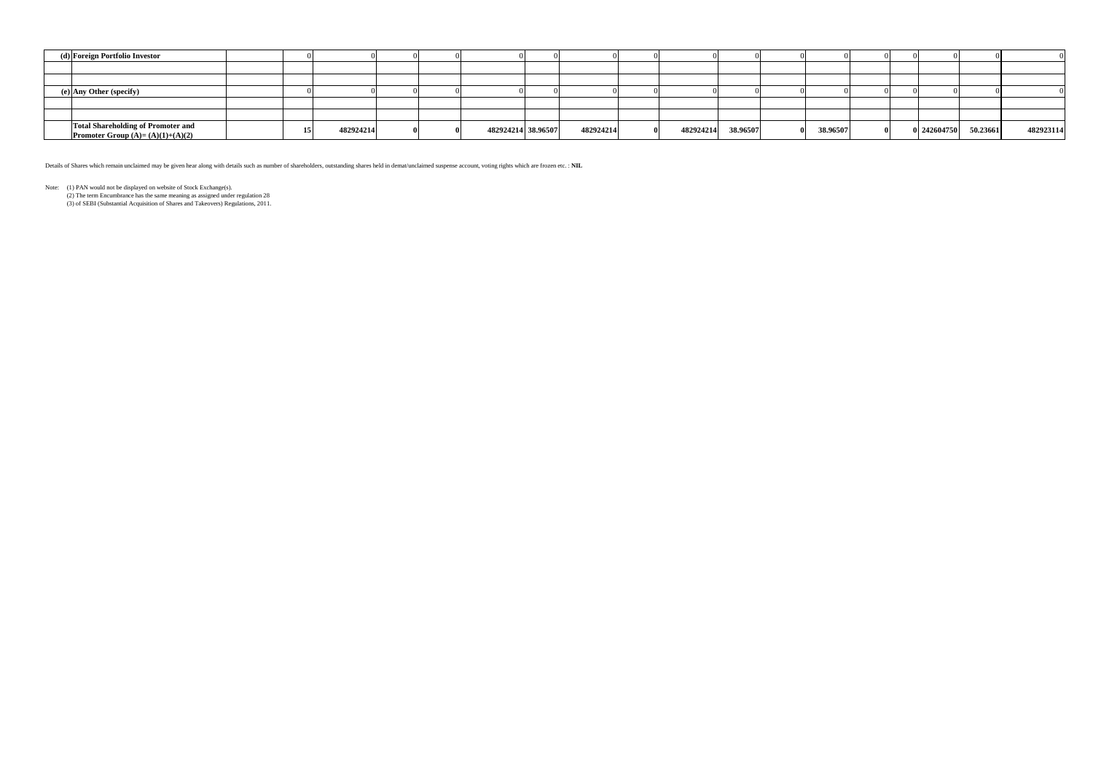| (d) Foreign Portfolio Investor                                                  |  |           |  |                    |           |           |          |          |  |             |          |           |
|---------------------------------------------------------------------------------|--|-----------|--|--------------------|-----------|-----------|----------|----------|--|-------------|----------|-----------|
|                                                                                 |  |           |  |                    |           |           |          |          |  |             |          |           |
|                                                                                 |  |           |  |                    |           |           |          |          |  |             |          |           |
| (e) Any Other (specify)                                                         |  |           |  |                    |           |           |          |          |  |             |          |           |
|                                                                                 |  |           |  |                    |           |           |          |          |  |             |          |           |
|                                                                                 |  |           |  |                    |           |           |          |          |  |             |          |           |
| <b>Total Shareholding of Promoter and</b><br>Promoter Group $(A)=(A)(1)+(A)(2)$ |  | 482924214 |  | 482924214 38.96507 | 482924214 | 482924214 | 38.96507 | 38.96507 |  | 0 242604750 | 50.23661 | 482923114 |

Details of Shares which remain unclaimed may be given hear along with details such as number of shareholders, outstanding shares held in demat/unclaimed suspense account, voting rights which are frozen etc. : **NIL**

Note: (1) PAN would not be displayed on website of Stock Exchange(s).

(2) The term Encumbrance has the same meaning as assigned under regulation 28

(3) of SEBI (Substantial Acquisition of Shares and Takeovers) Regulations, 2011.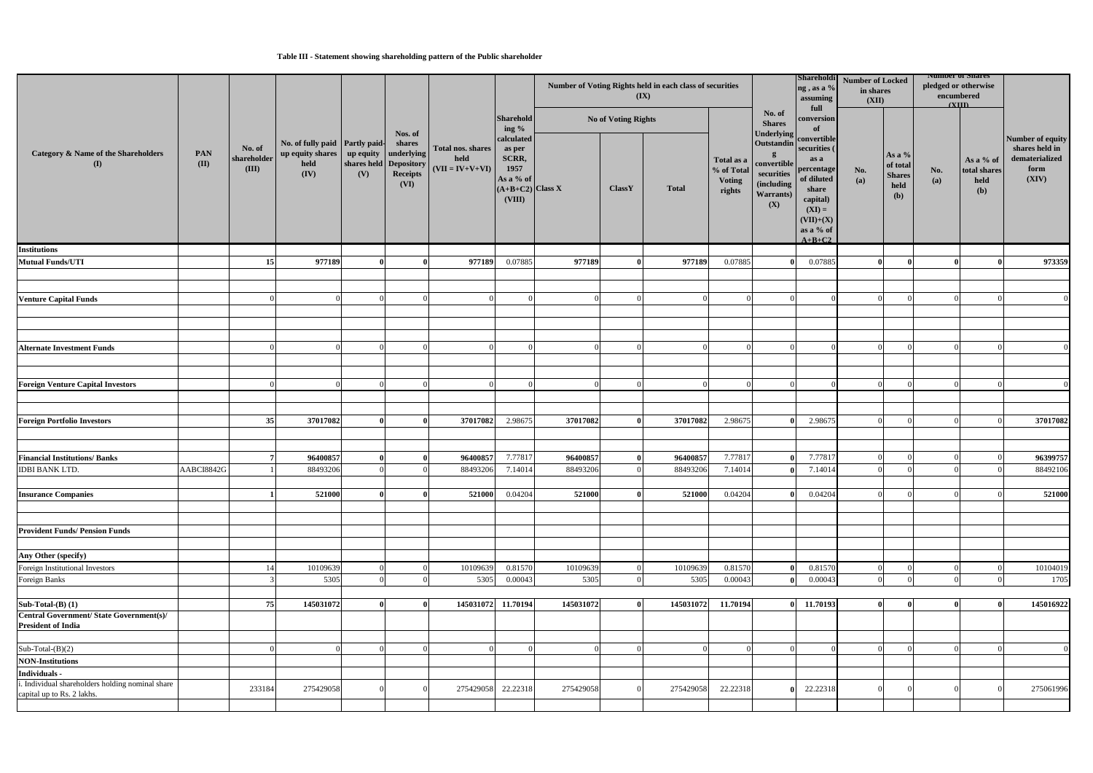### **Table III - Statement showing shareholding pattern of the Public shareholder**

|                                                                                |             |                                | No. of fully paid Partly paid-<br>up equity shares up equity<br>held<br>(IV) |                               |                                          | Total nos. shares<br>held<br>$(VII = IV+V+VI)$ | <b>Sharehold</b>                                                                   |           |                     | Number of Voting Rights held in each class of securities<br>$(\mathbf{IX})$ |                                                                                                                                        |                                                                                                                                          | Shareholdi<br>ng, as a %<br>assuming<br>full | <b>Number of Locked</b><br>in shares<br>(XII)        |            | <b>Number of Shares</b><br>pledged or otherwise<br>encumbered<br>$\alpha$ III) |                                                                       |           |
|--------------------------------------------------------------------------------|-------------|--------------------------------|------------------------------------------------------------------------------|-------------------------------|------------------------------------------|------------------------------------------------|------------------------------------------------------------------------------------|-----------|---------------------|-----------------------------------------------------------------------------|----------------------------------------------------------------------------------------------------------------------------------------|------------------------------------------------------------------------------------------------------------------------------------------|----------------------------------------------|------------------------------------------------------|------------|--------------------------------------------------------------------------------|-----------------------------------------------------------------------|-----------|
|                                                                                |             |                                |                                                                              |                               | Nos. of                                  |                                                | ing %                                                                              |           | No of Voting Rights |                                                                             |                                                                                                                                        | No. of<br><b>Shares</b><br><b>Underlying</b>                                                                                             | conversion<br>of                             |                                                      |            |                                                                                |                                                                       |           |
| <b>Category &amp; Name of the Shareholders</b><br>(I)                          | PAN<br>(II) | No. of<br>shareholder<br>(III) |                                                                              | shares held Depository<br>(V) | shares<br>underlying<br>Receipts<br>(VI) |                                                | calculated<br>as per<br>SCRR,<br>1957<br>As a % of<br>$(A+B+C2)$ Class X<br>(VIII) |           | <b>ClassY</b>       | <b>Total</b>                                                                | Outstandin<br>Total as a<br>convertible<br>% of Total<br>$\sf securities$<br><b>Voting</b><br>(including<br>rights<br>Warrants)<br>(X) | convertible<br>securities (<br>as a<br>percentage<br>of diluted<br>share<br>capital)<br>$(XI) =$<br>$(VII)+(X)$<br>as a % of<br>$A+B+C2$ | No.<br>(a)                                   | As a $%$<br>of total<br><b>Shares</b><br>held<br>(b) | No.<br>(a) | As a % of<br>total shares<br>held<br>(b)                                       | Number of equity<br>shares held in<br>dematerialized<br>form<br>(XIV) |           |
| <b>Institutions</b>                                                            |             |                                |                                                                              |                               |                                          |                                                |                                                                                    |           |                     |                                                                             |                                                                                                                                        |                                                                                                                                          |                                              |                                                      |            |                                                                                |                                                                       |           |
| <b>Mutual Funds/UTI</b>                                                        |             | 15 <sup>1</sup>                | 977189                                                                       |                               |                                          | 977189                                         | 0.07885                                                                            | 977189    |                     | 977189                                                                      | 0.07885                                                                                                                                |                                                                                                                                          | 0.07885                                      |                                                      |            |                                                                                |                                                                       | 973359    |
| <b>Venture Capital Funds</b>                                                   |             |                                |                                                                              |                               |                                          |                                                |                                                                                    |           |                     |                                                                             |                                                                                                                                        |                                                                                                                                          |                                              |                                                      |            |                                                                                |                                                                       |           |
| <b>Alternate Investment Funds</b>                                              |             |                                |                                                                              |                               |                                          |                                                |                                                                                    |           |                     |                                                                             |                                                                                                                                        |                                                                                                                                          |                                              |                                                      |            |                                                                                |                                                                       |           |
|                                                                                |             |                                |                                                                              |                               |                                          |                                                |                                                                                    |           |                     |                                                                             |                                                                                                                                        |                                                                                                                                          |                                              |                                                      |            |                                                                                |                                                                       |           |
| <b>Foreign Venture Capital Investors</b>                                       |             |                                |                                                                              |                               |                                          |                                                |                                                                                    |           |                     |                                                                             |                                                                                                                                        |                                                                                                                                          |                                              |                                                      |            |                                                                                |                                                                       |           |
| <b>Foreign Portfolio Investors</b>                                             |             | 35                             | 37017082                                                                     |                               |                                          | 37017082                                       | 2.98675                                                                            | 37017082  | $\Omega$            | 37017082                                                                    | 2.98675                                                                                                                                |                                                                                                                                          | 2.98675                                      |                                                      |            |                                                                                |                                                                       | 37017082  |
| <b>Financial Institutions/Banks</b>                                            |             |                                | 96400857                                                                     |                               |                                          | 96400857                                       | 7.77817                                                                            | 96400857  |                     | 96400857                                                                    | 7.77817                                                                                                                                |                                                                                                                                          | 7.7781                                       |                                                      |            |                                                                                |                                                                       | 96399757  |
| <b>IDBI BANK LTD.</b>                                                          | AABCI8842G  |                                | 88493206                                                                     |                               |                                          | 88493206                                       | 7.14014                                                                            | 88493206  |                     | 88493206                                                                    | 7.14014                                                                                                                                |                                                                                                                                          | 7.14014                                      |                                                      |            |                                                                                |                                                                       | 88492106  |
| <b>Insurance Companies</b>                                                     |             |                                | 521000                                                                       |                               |                                          | 521000                                         | 0.04204                                                                            | 521000    |                     | 521000                                                                      | 0.04204                                                                                                                                |                                                                                                                                          | 0.04204                                      |                                                      |            |                                                                                |                                                                       | 521000    |
| <b>Provident Funds/ Pension Funds</b>                                          |             |                                |                                                                              |                               |                                          |                                                |                                                                                    |           |                     |                                                                             |                                                                                                                                        |                                                                                                                                          |                                              |                                                      |            |                                                                                |                                                                       |           |
| Any Other (specify)                                                            |             |                                |                                                                              |                               |                                          |                                                |                                                                                    |           |                     |                                                                             |                                                                                                                                        |                                                                                                                                          |                                              |                                                      |            |                                                                                |                                                                       |           |
| Foreign Institutional Investors                                                |             | 14                             | 10109639                                                                     |                               |                                          | 10109639                                       | 0.81570                                                                            | 10109639  | $\Omega$            | 10109639                                                                    | 0.81570                                                                                                                                |                                                                                                                                          | 0.81570                                      |                                                      |            |                                                                                |                                                                       | 10104019  |
| Foreign Banks                                                                  |             |                                | 5305                                                                         |                               |                                          | 5305                                           | 0.00043                                                                            | 5305      | ∩                   | 5305                                                                        | 0.00043                                                                                                                                |                                                                                                                                          | 0.00043                                      | $\Omega$                                             |            |                                                                                |                                                                       | 1705      |
| Sub-Total- $(B)$ $(1)$                                                         |             | 75                             | 145031072                                                                    |                               |                                          | 145031072                                      | 11.70194                                                                           | 145031072 | $\mathbf{v}$        | 145031072                                                                   | 11.70194                                                                                                                               |                                                                                                                                          | 0 11.70193                                   |                                                      |            |                                                                                |                                                                       | 145016922 |
| <b>Central Government/State Government(s)/</b><br><b>President of India</b>    |             |                                |                                                                              |                               |                                          |                                                |                                                                                    |           |                     |                                                                             |                                                                                                                                        |                                                                                                                                          |                                              |                                                      |            |                                                                                |                                                                       |           |
| Sub-Total- $(B)(2)$                                                            |             |                                |                                                                              |                               |                                          |                                                |                                                                                    |           | $\Omega$            |                                                                             |                                                                                                                                        |                                                                                                                                          |                                              |                                                      |            |                                                                                |                                                                       |           |
| <b>NON-Institutions</b>                                                        |             |                                |                                                                              |                               |                                          |                                                |                                                                                    |           |                     |                                                                             |                                                                                                                                        |                                                                                                                                          |                                              |                                                      |            |                                                                                |                                                                       |           |
| Individuals -                                                                  |             |                                |                                                                              |                               |                                          |                                                |                                                                                    |           |                     |                                                                             |                                                                                                                                        |                                                                                                                                          |                                              |                                                      |            |                                                                                |                                                                       |           |
| i. Individual shareholders holding nominal share<br>capital up to Rs. 2 lakhs. |             | 233184                         | 275429058                                                                    |                               |                                          | 275429058                                      | 22.22318                                                                           | 275429058 | $\Omega$            | 275429058                                                                   | 22.22318                                                                                                                               |                                                                                                                                          | 22.22318                                     |                                                      |            |                                                                                |                                                                       | 275061996 |
|                                                                                |             |                                |                                                                              |                               |                                          |                                                |                                                                                    |           |                     |                                                                             |                                                                                                                                        |                                                                                                                                          |                                              |                                                      |            |                                                                                |                                                                       |           |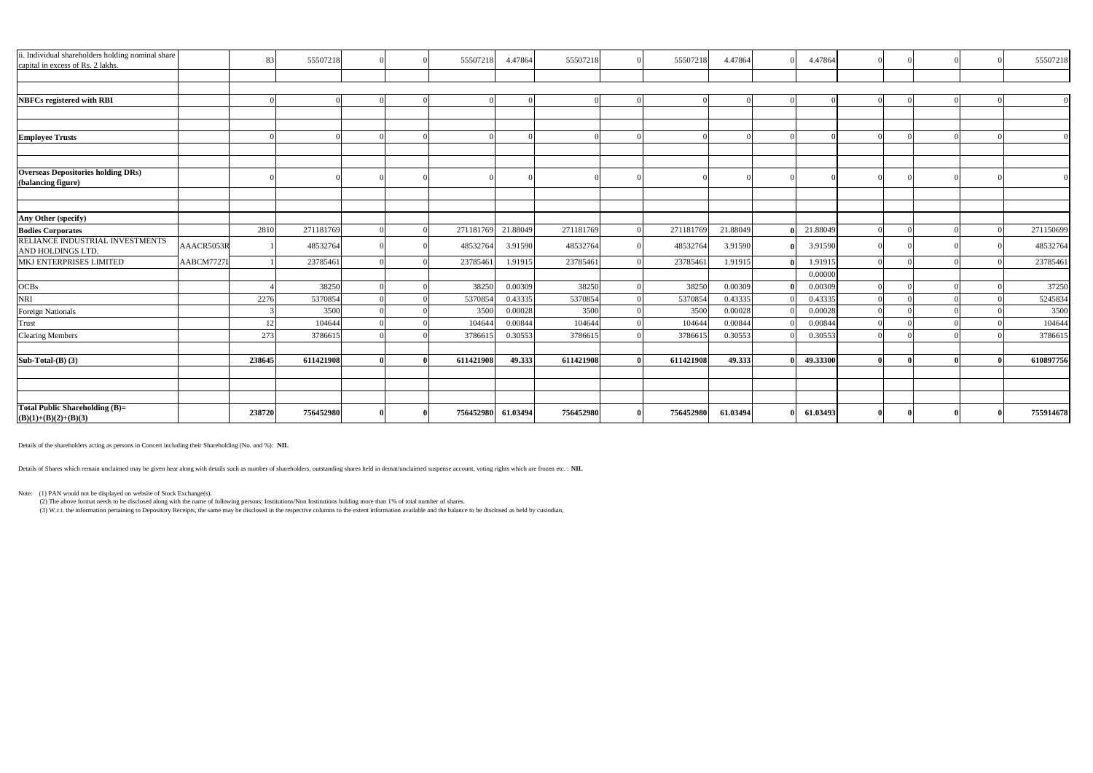| ii. Individual shareholders holding nominal share<br>capital in excess of Rs. 2 lakhs. |            | -831   | 55507218  |  | 55507218  | 4.47864  | 55507218  | 55507218  | 4.47864  |   | 4.47864  |  |  | 55507218  |
|----------------------------------------------------------------------------------------|------------|--------|-----------|--|-----------|----------|-----------|-----------|----------|---|----------|--|--|-----------|
|                                                                                        |            |        |           |  |           |          |           |           |          |   |          |  |  |           |
|                                                                                        |            |        |           |  |           |          |           |           |          |   |          |  |  |           |
| <b>NBFCs registered with RBI</b>                                                       |            |        |           |  |           |          |           |           |          |   |          |  |  | $\Omega$  |
|                                                                                        |            |        |           |  |           |          |           |           |          |   |          |  |  |           |
|                                                                                        |            |        |           |  |           |          |           |           |          |   |          |  |  |           |
| <b>Employee Trusts</b>                                                                 |            |        |           |  |           |          |           |           |          |   |          |  |  |           |
|                                                                                        |            |        |           |  |           |          |           |           |          |   |          |  |  |           |
| <b>Overseas Depositories holding DRs)</b><br>(balancing figure)                        |            |        |           |  |           |          |           |           |          |   |          |  |  | $\Omega$  |
|                                                                                        |            |        |           |  |           |          |           |           |          |   |          |  |  |           |
| Any Other (specify)                                                                    |            |        |           |  |           |          |           |           |          |   |          |  |  |           |
| <b>Bodies Corporates</b>                                                               |            | 2810   | 271181769 |  | 271181769 | 21.88049 | 271181769 | 271181769 | 21.88049 |   | 21.88049 |  |  | 271150699 |
| RELIANCE INDUSTRIAL INVESTMENTS<br>AND HOLDINGS LTD.                                   | AAACR5053R |        | 48532764  |  | 48532764  | 3.91590  | 48532764  | 48532764  | 3.91590  | 0 | 3.91590  |  |  | 48532764  |
| MKJ ENTERPRISES LIMITED                                                                | AABCM7727  |        | 23785461  |  | 23785461  | 1.91915  | 23785461  | 23785461  | 1.9191:  |   | 1.9191.  |  |  | 23785461  |
|                                                                                        |            |        |           |  |           |          |           |           |          |   | 0.00000  |  |  |           |
| <b>OCBs</b>                                                                            |            |        | 38250     |  | 38250     | 0.00309  | 38250     | 38250     | 0.00309  |   | 0.00309  |  |  | 37250     |
| <b>NRI</b>                                                                             |            | 2276   | 5370854   |  | 5370854   | 0.43335  | 5370854   | 5370854   | 0.43335  |   | 0.43335  |  |  | 5245834   |
| <b>Foreign Nationals</b>                                                               |            |        | 3500      |  | 3500      | 0.00028  | 3500      | 3500      | 0.00028  |   | 0.00028  |  |  | 3500      |
| <b>Trust</b>                                                                           |            | 12     | 104644    |  | 104644    | 0.00844  | 104644    | 104644    | 0.00844  |   | 0.00844  |  |  | 104644    |
| <b>Clearing Members</b>                                                                |            | 273    | 3786615   |  | 3786615   | 0.30553  | 3786615   | 3786615   | 0.30553  |   | 0.30553  |  |  | 3786615   |
| Sub-Total- $(B)$ $(3)$                                                                 |            | 238645 | 611421908 |  | 611421908 | 49.333   | 611421908 | 611421908 | 49.333   |   | 49.33300 |  |  | 610897756 |
|                                                                                        |            |        |           |  |           |          |           |           |          |   |          |  |  |           |
|                                                                                        |            |        |           |  |           |          |           |           |          |   |          |  |  |           |
| <b>Total Public Shareholding (B)=</b>                                                  |            |        |           |  |           |          |           |           |          |   |          |  |  |           |
| $(B)(1)+(B)(2)+(B)(3)$                                                                 |            | 238720 | 756452980 |  | 756452980 | 61.03494 | 756452980 | 756452980 | 61.03494 | 0 | 61.03493 |  |  | 755914678 |

Note: (1) PAN would not be displayed on website of Stock Exchange(s).

(2) The above format needs to be disclosed along with the name of following persons: Institutions/Non Institutions holding more than 1% of total number of shares.

(3) W.r.t. the information pertaining to Depository Receipts, the same may be disclosed in the respective columns to the extent information available and the balance to be disclosed as held by custodian,

Details of the shareholders acting as persons in Concert including their Shareholding (No. and %): **NIL**

Details of Shares which remain unclaimed may be given hear along with details such as number of shareholders, outstanding shares held in demat/unclaimed suspense account, voting rights which are frozen etc. : NIL